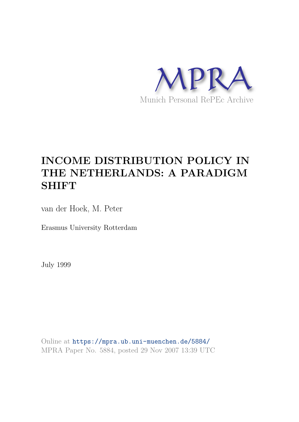

# **INCOME DISTRIBUTION POLICY IN THE NETHERLANDS: A PARADIGM SHIFT**

van der Hoek, M. Peter

Erasmus University Rotterdam

July 1999

Online at https://mpra.ub.uni-muenchen.de/5884/ MPRA Paper No. 5884, posted 29 Nov 2007 13:39 UTC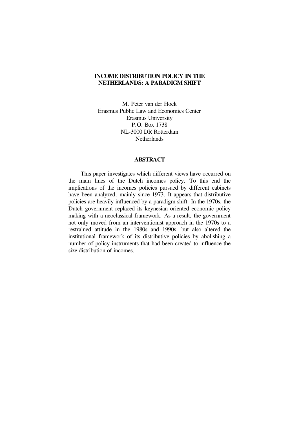## **INCOME DISTRIBUTION POLICY IN THE NETHERLANDS: A PARADIGM SHIFT**

 M. Peter van der Hoek Erasmus Public Law and Economics Center Erasmus University P.O. Box 1738 NL-3000 DR Rotterdam **Netherlands** 

#### **ABSTRACT**

 This paper investigates which different views have occurred on the main lines of the Dutch incomes policy. To this end the implications of the incomes policies pursued by different cabinets have been analyzed, mainly since 1973. It appears that distributive policies are heavily influenced by a paradigm shift. In the 1970s, the Dutch government replaced its keynesian oriented economic policy making with a neoclassical framework. As a result, the government not only moved from an interventionist approach in the 1970s to a restrained attitude in the 1980s and 1990s, but also altered the institutional framework of its distributive policies by abolishing a number of policy instruments that had been created to influence the size distribution of incomes.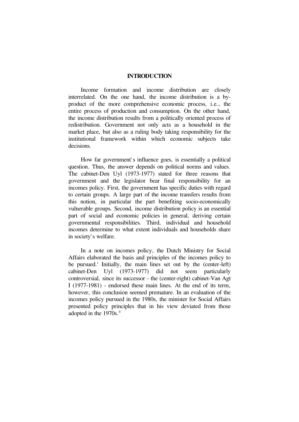### **INTRODUCTION**

 Income formation and income distribution are closely interrelated. On the one hand, the income distribution is a byproduct of the more comprehensive economic process, i.e., the entire process of production and consumption. On the other hand, the income distribution results from a politically oriented process of redistribution. Government not only acts as a household in the market place, but also as a ruling body taking responsibility for the institutional framework within which economic subjects take decisions.

 How far government' s influence goes, is essentially a political question. Thus, the answer depends on political norms and values. The cabinet-Den Uyl (1973-1977) stated for three reasons that government and the legislator bear final responsibility for an incomes policy. First, the government has specific duties with regard to certain groups. A large part of the income transfers results from this notion, in particular the part benefiting socio-economically vulnerable groups. Second, income distribution policy is an essential part of social and economic policies in general, deriving certain governmental responsibilities. Third, individual and household incomes determine to what extent individuals and households share in society' s welfare.

 In a note on incomes policy, the Dutch Ministry for Social Affairs elaborated the basis and principles of the incomes policy to be pursued.<sup>i</sup> Initially, the main lines set out by the (center-left) cabinet-Den Uyl (1973-1977) did not seem particularly controversial, since its successor - the (center-right) cabinet-Van Agt I (1977-1981) - endorsed these main lines. At the end of its term, however, this conclusion seemed premature. In an evaluation of the incomes policy pursued in the 1980s, the minister for Social Affairs presented policy principles that in his view deviated from those adopted in the 1970s.<sup>ii</sup>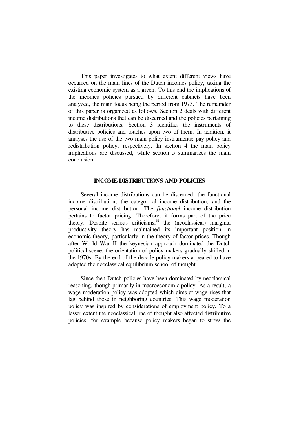This paper investigates to what extent different views have occurred on the main lines of the Dutch incomes policy, taking the existing economic system as a given. To this end the implications of the incomes policies pursued by different cabinets have been analyzed, the main focus being the period from 1973. The remainder of this paper is organized as follows. Section 2 deals with different income distributions that can be discerned and the policies pertaining to these distributions. Section 3 identifies the instruments of distributive policies and touches upon two of them. In addition, it analyses the use of the two main policy instruments: pay policy and redistribution policy, respectively. In section 4 the main policy implications are discussed, while section 5 summarizes the main conclusion.

## **INCOME DISTRIBUTIONS AND POLICIES**

 Several income distributions can be discerned: the functional income distribution, the categorical income distribution, and the personal income distribution. The *functional* income distribution pertains to factor pricing. Therefore, it forms part of the price theory. Despite serious criticisms, iii the (neoclassical) marginal productivity theory has maintained its important position in economic theory, particularly in the theory of factor prices. Though after World War II the keynesian approach dominated the Dutch political scene, the orientation of policy makers gradually shifted in the 1970s. By the end of the decade policy makers appeared to have adopted the neoclassical equilibrium school of thought.

 Since then Dutch policies have been dominated by neoclassical reasoning, though primarily in macroeconomic policy. As a result, a wage moderation policy was adopted which aims at wage rises that lag behind those in neighboring countries. This wage moderation policy was inspired by considerations of employment policy. To a lesser extent the neoclassical line of thought also affected distributive policies, for example because policy makers began to stress the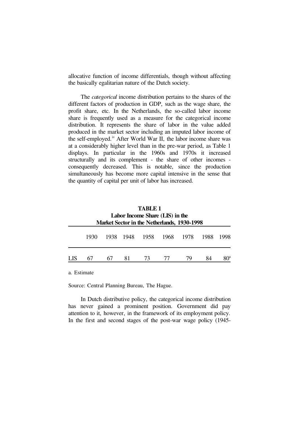allocative function of income differentials, though without affecting the basically egalitarian nature of the Dutch society.

 The *categorical* income distribution pertains to the shares of the different factors of production in GDP, such as the wage share, the profit share, etc. In the Netherlands, the so-called labor income share is frequently used as a measure for the categorical income distribution. It represents the share of labor in the value added produced in the market sector including an imputed labor income of the self-employed.iv After World War II, the labor income share was at a considerably higher level than in the pre-war period, as Table 1 displays. In particular in the 1960s and 1970s it increased structurally and its complement - the share of other incomes consequently decreased. This is notable, since the production simultaneously has become more capital intensive in the sense that the quantity of capital per unit of labor has increased.

| TABLE 1<br>Labor Income Share (LIS) in the<br>Market Sector in the Netherlands, 1930-1998 |  |    |                          |  |  |      |      |  |  |
|-------------------------------------------------------------------------------------------|--|----|--------------------------|--|--|------|------|--|--|
| 1930                                                                                      |  |    | 1938 1948 1958 1968 1978 |  |  | 1988 | 1998 |  |  |
| 67                                                                                        |  | 81 | 73                       |  |  |      |      |  |  |

a. Estimate

Source: Central Planning Bureau, The Hague.

 In Dutch distributive policy, the categorical income distribution has never gained a prominent position. Government did pay attention to it, however, in the framework of its employment policy. In the first and second stages of the post-war wage policy (1945-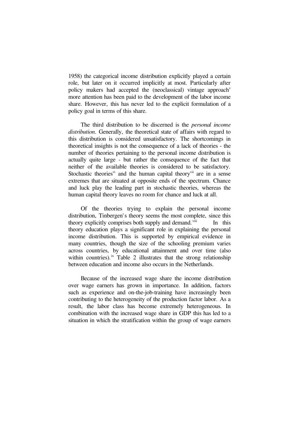1958) the categorical income distribution explicitly played a certain role, but later on it occurred implicitly at most. Particularly after policy makers had accepted the (neoclassical) vintage approach  $\theta$ more attention has been paid to the development of the labor income share. However, this has never led to the explicit formulation of a policy goal in terms of this share.

 The third distribution to be discerned is the *personal income distribution*. Generally, the theoretical state of affairs with regard to this distribution is considered unsatisfactory. The shortcomings in theoretical insights is not the consequence of a lack of theories - the number of theories pertaining to the personal income distribution is actually quite large - but rather the consequence of the fact that neither of the available theories is considered to be satisfactory. Stochastic theories<sup>vi</sup> and the human capital theory<sup>vii</sup> are in a sense extremes that are situated at opposite ends of the spectrum. Chance and luck play the leading part in stochastic theories, whereas the human capital theory leaves no room for chance and luck at all.

 Of the theories trying to explain the personal income distribution, Tinbergen's theory seems the most complete, since this theory explicitly comprises both supply and demand.<sup>viii</sup> In this theory education plays a significant role in explaining the personal income distribution. This is supported by empirical evidence in many countries, though the size of the schooling premium varies across countries, by educational attainment and over time (also within countries).<sup>ix</sup> Table 2 illustrates that the strong relationship between education and income also occurs in the Netherlands.

 Because of the increased wage share the income distribution over wage earners has grown in importance. In addition, factors such as experience and on-the-job-training have increasingly been contributing to the heterogeneity of the production factor labor. As a result, the labor class has become extremely heterogeneous. In combination with the increased wage share in GDP this has led to a situation in which the stratification within the group of wage earners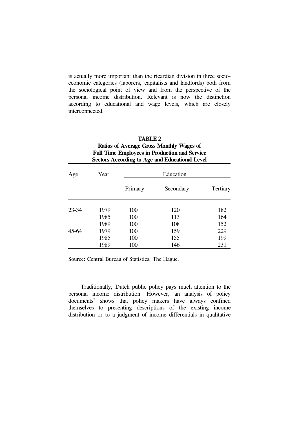is actually more important than the ricardian division in three socioeconomic categories (laborers, capitalists and landlords) both from the sociological point of view and from the perspective of the personal income distribution. Relevant is now the distinction according to educational and wage levels, which are closely interconnected.

| <b>TABLE 2</b><br><b>Ratios of Average Gross Monthly Wages of</b><br><b>Full Time Employees in Production and Service</b><br><b>Sectors According to Age and Educational Level</b> |      |           |           |                 |  |  |  |  |
|------------------------------------------------------------------------------------------------------------------------------------------------------------------------------------|------|-----------|-----------|-----------------|--|--|--|--|
| Age                                                                                                                                                                                | Year | Education |           |                 |  |  |  |  |
|                                                                                                                                                                                    |      | Primary   | Secondary | <b>Tertiary</b> |  |  |  |  |
| $23 - 34$                                                                                                                                                                          | 1979 | 100       | 120       | 182             |  |  |  |  |
|                                                                                                                                                                                    | 1985 | 100       | 113       | 164             |  |  |  |  |
|                                                                                                                                                                                    | 1989 | 100       | 108       | 152             |  |  |  |  |
| $45 - 64$                                                                                                                                                                          | 1979 | 100       | 159       | 229             |  |  |  |  |
|                                                                                                                                                                                    | 1985 | 100       | 155       | 199             |  |  |  |  |
|                                                                                                                                                                                    | 1989 | 100       | 146       | 231             |  |  |  |  |

Source: Central Bureau of Statistics, The Hague.

 Traditionally, Dutch public policy pays much attention to the personal income distribution. However, an analysis of policy documents<sup>x</sup> shows that policy makers have always confined themselves to presenting descriptions of the existing income distribution or to a judgment of income differentials in qualitative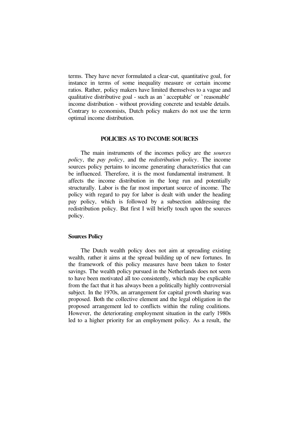terms. They have never formulated a clear-cut, quantitative goal, for instance in terms of some inequality measure or certain income ratios. Rather, policy makers have limited themselves to a vague and qualitative distributive goal - such as an ` acceptable' or ` reasonable' income distribution - without providing concrete and testable details. Contrary to economists, Dutch policy makers do not use the term optimal income distribution.

#### **POLICIES AS TO INCOME SOURCES**

 The main instruments of the incomes policy are the *sources policy*, the *pay policy*, and the *redistribution policy*. The income sources policy pertains to income generating characteristics that can be influenced. Therefore, it is the most fundamental instrument. It affects the income distribution in the long run and potentially structurally. Labor is the far most important source of income. The policy with regard to pay for labor is dealt with under the heading pay policy, which is followed by a subsection addressing the redistribution policy. But first I will briefly touch upon the sources policy.

## **Sources Policy**

 The Dutch wealth policy does not aim at spreading existing wealth, rather it aims at the spread building up of new fortunes. In the framework of this policy measures have been taken to foster savings. The wealth policy pursued in the Netherlands does not seem to have been motivated all too consistently, which may be explicable from the fact that it has always been a politically highly controversial subject. In the 1970s, an arrangement for capital growth sharing was proposed. Both the collective element and the legal obligation in the proposed arrangement led to conflicts within the ruling coalitions. However, the deteriorating employment situation in the early 1980s led to a higher priority for an employment policy. As a result, the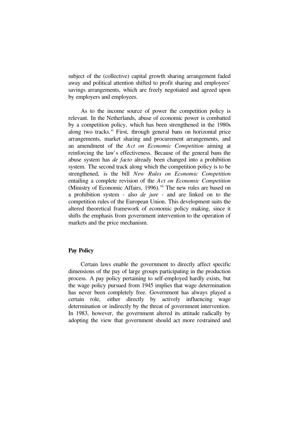subject of the (collective) capital growth sharing arrangement faded away and political attention shifted to profit sharing and employees' savings arrangements, which are freely negotiated and agreed upon by employers and employees.

 As to the income source of power the competition policy is relevant. In the Netherlands, abuse of economic power is combatted by a competition policy, which has been strengthened in the 1980s along two tracks. $^{\chi i}$  First, through general bans on horizontal price arrangements, market sharing and procurement arrangements, and an amendment of the *Act on Economic Competition* aiming at reinforcing the law's effectiveness. Because of the general bans the abuse system has *de facto* already been changed into a prohibition system. The second track along which the competition policy is to be strengthened, is the bill *New Rules on Economic Competition* entailing a complete revision of the *Act on Economic Competition* (Ministry of Economic Affairs, 1996).<sup>xii</sup> The new rules are based on a prohibition system - also *de jure* - and are linked on to the competition rules of the European Union. This development suits the altered theoretical framework of economic policy making, since it shifts the emphasis from government intervention to the operation of markets and the price mechanism.

## **Pay Policy**

 Certain laws enable the government to directly affect specific dimensions of the pay of large groups participating in the production process. A pay policy pertaining to self-employed hardly exists, but the wage policy pursued from 1945 implies that wage determination has never been completely free. Government has always played a certain role, either directly by actively influencing wage determination or indirectly by the threat of government intervention. In 1983, however, the government altered its attitude radically by adopting the view that government should act more restrained and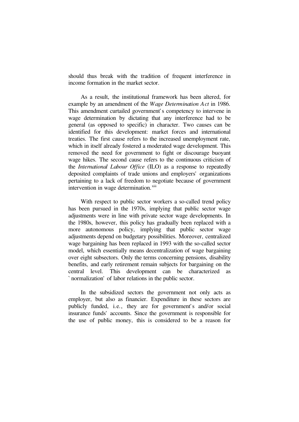should thus break with the tradition of frequent interference in income formation in the market sector.

 As a result, the institutional framework has been altered, for example by an amendment of the *Wage Determination Act* in 1986. This amendment curtailed government's competency to intervene in wage determination by dictating that any interference had to be general (as opposed to specific) in character. Two causes can be identified for this development: market forces and international treaties. The first cause refers to the increased unemployment rate, which in itself already fostered a moderated wage development. This removed the need for government to fight or discourage buoyant wage hikes. The second cause refers to the continuous criticism of the *International Labour Office* (ILO) as a response to repeatedly deposited complaints of trade unions and employers' organizations pertaining to a lack of freedom to negotiate because of government intervention in wage determination.<sup>xiii</sup>

 With respect to public sector workers a so-called trend policy has been pursued in the 1970s, implying that public sector wage adjustments were in line with private sector wage developments. In the 1980s, however, this policy has gradually been replaced with a more autonomous policy, implying that public sector wage adjustments depend on budgetary possibilities. Moreover, centralized wage bargaining has been replaced in 1993 with the so-called sector model, which essentially means decentralization of wage bargaining over eight subsectors. Only the terms concerning pensions, disability benefits, and early retirement remain subjects for bargaining on the central level. This development can be characterized as ` normalization' of labor relations in the public sector.

 In the subsidized sectors the government not only acts as employer, but also as financier. Expenditure in these sectors are publicly funded, i.e., they are for government's and/or social insurance funds' accounts. Since the government is responsible for the use of public money, this is considered to be a reason for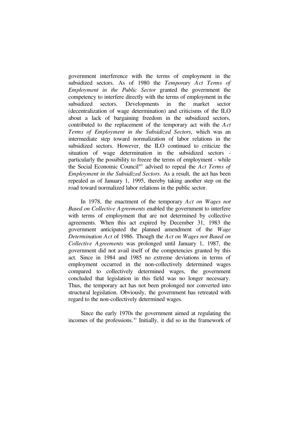government interference with the terms of employment in the subsidized sectors. As of 1980 the *Temporary Act Terms of Employment in the Public Sector* granted the government the competency to interfere directly with the terms of employment in the subsidized sectors. Developments in the market sector (decentralization of wage determination) and criticisms of the ILO about a lack of bargaining freedom in the subsidized sectors, contributed to the replacement of the temporary act with the *Act Terms of Employment in the Subsidized Sectors*, which was an intermediate step toward normalization of labor relations in the subsidized sectors. However, the ILO continued to criticize the situation of wage determination in the subsidized sectors particularly the possibility to freeze the terms of employment - while the Social Economic Council<sup>xiv</sup> advised to repeal the *Act Terms of Employment in the Subsidized Sectors*. As a result, the act has been repealed as of January 1, 1995, thereby taking another step on the road toward normalized labor relations in the public sector.

 In 1978, the enactment of the temporary *Act on Wages not Based on Collective Agreements* enabled the government to interfere with terms of employment that are not determined by collective agreements. When this act expired by December 31, 1983 the government anticipated the planned amendment of the *Wage Determination Act* of 1986. Though the *Act on Wages not Based on Collective Agreements* was prolonged until January 1, 1987, the government did not avail itself of the competencies granted by this act. Since in 1984 and 1985 no extreme deviations in terms of employment occurred in the non-collectively determined wages compared to collectively determined wages, the government concluded that legislation in this field was no longer necessary. Thus, the temporary act has not been prolonged nor converted into structural legislation. Obviously, the government has retreated with regard to the non-collectively determined wages.

 Since the early 1970s the government aimed at regulating the incomes of the professions.<sup>xv</sup> Initially, it did so in the framework of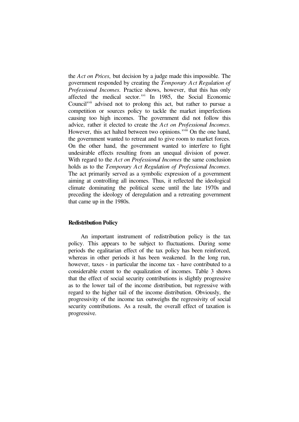the *Act on Prices*, but decision by a judge made this impossible. The government responded by creating the *Temporary Act Regulation of Professional Incomes*. Practice shows, however, that this has only affected the medical sector. xvi In 1985, the Social Economic Council<sup>xvii</sup> advised not to prolong this act, but rather to pursue a competition or sources policy to tackle the market imperfections causing too high incomes. The government did not follow this advice, rather it elected to create the *Act on Professional Incomes*. However, this act halted between two opinions.<sup>xviii</sup> On the one hand, the government wanted to retreat and to give room to market forces. On the other hand, the government wanted to interfere to fight undesirable effects resulting from an unequal division of power. With regard to the *Act on Professional Incomes* the same conclusion holds as to the *Temporary Act Regulation of Professional Incomes*. The act primarily served as a symbolic expression of a government aiming at controlling all incomes. Thus, it reflected the ideological climate dominating the political scene until the late 1970s and preceding the ideology of deregulation and a retreating government that came up in the 1980s.

## **Redistribution Policy**

 An important instrument of redistribution policy is the tax policy. This appears to be subject to fluctuations. During some periods the egalitarian effect of the tax policy has been reinforced, whereas in other periods it has been weakened. In the long run, however, taxes - in particular the income tax - have contributed to a considerable extent to the equalization of incomes. Table 3 shows that the effect of social security contributions is slightly progressive as to the lower tail of the income distribution, but regressive with regard to the higher tail of the income distribution. Obviously, the progressivity of the income tax outweighs the regressivity of social security contributions. As a result, the overall effect of taxation is progressive.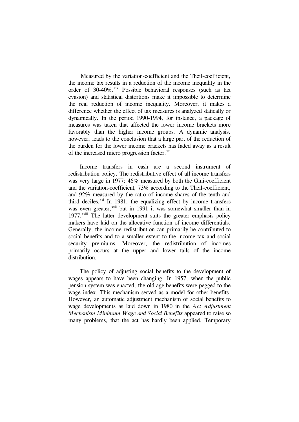Measured by the variation-coefficient and the Theil-coefficient, the income tax results in a reduction of the income inequality in the order of 30-40%. Xix Possible behavioral responses (such as tax evasion) and statistical distortions make it impossible to determine the real reduction of income inequality. Moreover, it makes a difference whether the effect of tax measures is analyzed statically or dynamically. In the period 1990-1994, for instance, a package of measures was taken that affected the lower income brackets more favorably than the higher income groups. A dynamic analysis, however, leads to the conclusion that a large part of the reduction of the burden for the lower income brackets has faded away as a result of the increased micro progression factor.<sup>xx</sup>

 Income transfers in cash are a second instrument of redistribution policy. The redistributive effect of all income transfers was very large in 1977: 46% measured by both the Gini-coefficient and the variation-coefficient, 73% according to the Theil-coefficient, and 92% measured by the ratio of income shares of the tenth and third deciles. $^{xxi}$  In 1981, the equalizing effect by income transfers was even greater,<sup>xxii</sup> but in 1991 it was somewhat smaller than in 1977.<sup>xxiii</sup> The latter development suits the greater emphasis policy makers have laid on the allocative function of income differentials. Generally, the income redistribution can primarily be contributed to social benefits and to a smaller extent to the income tax and social security premiums. Moreover, the redistribution of incomes primarily occurs at the upper and lower tails of the income distribution.

 The policy of adjusting social benefits to the development of wages appears to have been changing. In 1957, when the public pension system was enacted, the old age benefits were pegged to the wage index. This mechanism served as a model for other benefits. However, an automatic adjustment mechanism of social benefits to wage developments as laid down in 1980 in the *Act Adjustment Mechanism Minimum Wage and Social Benefits* appeared to raise so many problems, that the act has hardly been applied. Temporary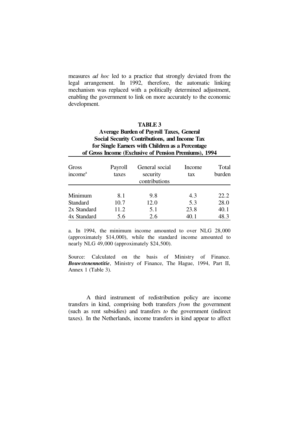measures *ad hoc* led to a practice that strongly deviated from the legal arrangement. In 1992, therefore, the automatic linking mechanism was replaced with a politically determined adjustment, enabling the government to link on more accurately to the economic development.

## **TABLE 3**

## **Average Burden of Payroll Taxes, General Social Security Contributions, and Income Tax for Single Earners with Children as a Percentage of Gross Income (Exclusive of Pension Premiums), 1994**

| Gross<br>income <sup>a</sup> | Payroll<br>taxes | General social<br>security<br>contributions | Income<br>tax | Total<br>burden |
|------------------------------|------------------|---------------------------------------------|---------------|-----------------|
| Minimum                      | 8.1              | 9.8                                         | 4.3           | 22.2            |
| <b>Standard</b>              | 10.7             | 12.0                                        | 5.3           | 28.0            |
| 2x Standard                  | 11.2             | 5.1                                         | 23.8          | 40.1            |
| 4x Standard                  | 5.6              | 2.6                                         | 40.1          | 48.3            |

a. In 1994, the minimum income amounted to over NLG 28,000 (approximately \$14,000), while the standard income amounted to nearly NLG 49,000 (approximately \$24,500).

Source: Calculated on the basis of Ministry of Finance. *Bouwstenennotitie*, Ministry of Finance, The Hague, 1994, Part II, Annex 1 (Table 3).

 A third instrument of redistribution policy are income transfers in kind, comprising both transfers *from* the government (such as rent subsidies) and transfers *to* the government (indirect taxes). In the Netherlands, income transfers in kind appear to affect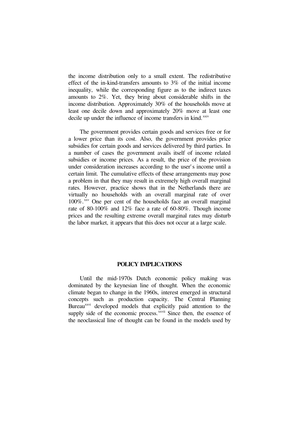the income distribution only to a small extent. The redistributive effect of the in-kind-transfers amounts to 3% of the initial income inequality, while the corresponding figure as to the indirect taxes amounts to 2%. Yet, they bring about considerable shifts in the income distribution. Approximately 30% of the households move at least one decile down and approximately 20% move at least one decile up under the influence of income transfers in kind.<sup>xxiv</sup>

 The government provides certain goods and services free or for a lower price than its cost. Also, the government provides price subsidies for certain goods and services delivered by third parties. In a number of cases the government avails itself of income related subsidies or income prices. As a result, the price of the provision under consideration increases according to the user' s income until a certain limit. The cumulative effects of these arrangements may pose a problem in that they may result in extremely high overall marginal rates. However, practice shows that in the Netherlands there are virtually no households with an overall marginal rate of over 100%. xxv One per cent of the households face an overall marginal rate of 80-100% and 12% face a rate of 60-80%. Though income prices and the resulting extreme overall marginal rates may disturb the labor market, it appears that this does not occur at a large scale.

#### **POLICY IMPLICATIONS**

 Until the mid-1970s Dutch economic policy making was dominated by the keynesian line of thought. When the economic climate began to change in the 1960s, interest emerged in structural concepts such as production capacity. The Central Planning Bureau<sup>xxvi</sup> developed models that explicitly paid attention to the supply side of the economic process. *xxvii* Since then, the essence of the neoclassical line of thought can be found in the models used by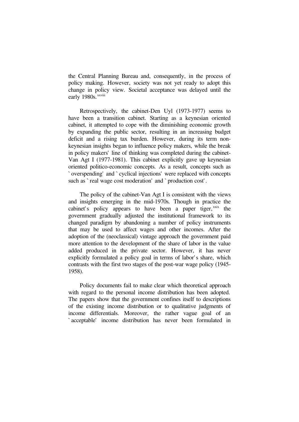the Central Planning Bureau and, consequently, in the process of policy making. However, society was not yet ready to adopt this change in policy view. Societal acceptance was delayed until the early 1980s. xxviii

 Retrospectively, the cabinet-Den Uyl (1973-1977) seems to have been a transition cabinet. Starting as a keynesian oriented cabinet, it attempted to cope with the diminishing economic growth by expanding the public sector, resulting in an increasing budget deficit and a rising tax burden. However, during its term nonkeynesian insights began to influence policy makers, while the break in policy makers' line of thinking was completed during the cabinet-Van Agt I (1977-1981). This cabinet explicitly gave up keynesian oriented politico-economic concepts. As a result, concepts such as ` overspending' and ` cyclical injections' were replaced with concepts such as `real wage cost moderation' and `production cost'.

 The policy of the cabinet-Van Agt I is consistent with the views and insights emerging in the mid-1970s. Though in practice the cabinet's policy appears to have been a paper tiger,  $x$ xix the government gradually adjusted the institutional framework to its changed paradigm by abandoning a number of policy instruments that may be used to affect wages and other incomes. After the adoption of the (neoclassical) vintage approach the government paid more attention to the development of the share of labor in the value added produced in the private sector. However, it has never explicitly formulated a policy goal in terms of labor's share, which contrasts with the first two stages of the post-war wage policy (1945- 1958).

 Policy documents fail to make clear which theoretical approach with regard to the personal income distribution has been adopted. The papers show that the government confines itself to descriptions of the existing income distribution or to qualitative judgments of income differentials. Moreover, the rather vague goal of an ` acceptable' income distribution has never been formulated in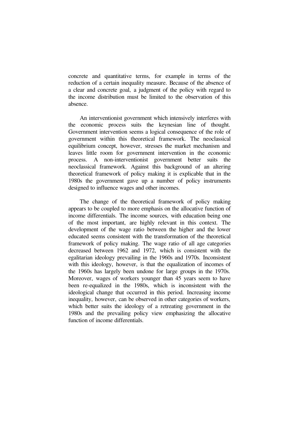concrete and quantitative terms, for example in terms of the reduction of a certain inequality measure. Because of the absence of a clear and concrete goal, a judgment of the policy with regard to the income distribution must be limited to the observation of this absence.

 An interventionist government which intensively interferes with the economic process suits the keynesian line of thought. Government intervention seems a logical consequence of the role of government within this theoretical framework. The neoclassical equilibrium concept, however, stresses the market mechanism and leaves little room for government intervention in the economic process. A non-interventionist government better suits the neoclassical framework. Against this background of an altering theoretical framework of policy making it is explicable that in the 1980s the government gave up a number of policy instruments designed to influence wages and other incomes.

 The change of the theoretical framework of policy making appears to be coupled to more emphasis on the allocative function of income differentials. The income sources, with education being one of the most important, are highly relevant in this context. The development of the wage ratio between the higher and the lower educated seems consistent with the transformation of the theoretical framework of policy making. The wage ratio of all age categories decreased between 1962 and 1972, which is consistent with the egalitarian ideology prevailing in the 1960s and 1970s. Inconsistent with this ideology, however, is that the equalization of incomes of the 1960s has largely been undone for large groups in the 1970s. Moreover, wages of workers younger than 45 years seem to have been re-equalized in the 1980s, which is inconsistent with the ideological change that occurred in this period. Increasing income inequality, however, can be observed in other categories of workers, which better suits the ideology of a retreating government in the 1980s and the prevailing policy view emphasizing the allocative function of income differentials.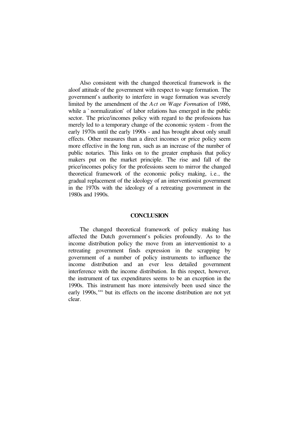Also consistent with the changed theoretical framework is the aloof attitude of the government with respect to wage formation. The government' s authority to interfere in wage formation was severely limited by the amendment of the *Act on Wage Formation* of 1986, while a `normalization' of labor relations has emerged in the public sector. The price/incomes policy with regard to the professions has merely led to a temporary change of the economic system - from the early 1970s until the early 1990s - and has brought about only small effects. Other measures than a direct incomes or price policy seem more effective in the long run, such as an increase of the number of public notaries. This links on to the greater emphasis that policy makers put on the market principle. The rise and fall of the price/incomes policy for the professions seem to mirror the changed theoretical framework of the economic policy making, i.e., the gradual replacement of the ideology of an interventionist government in the 1970s with the ideology of a retreating government in the 1980s and 1990s.

#### **CONCLUSION**

 The changed theoretical framework of policy making has affected the Dutch government' s policies profoundly. As to the income distribution policy the move from an interventionist to a retreating government finds expression in the scrapping by government of a number of policy instruments to influence the income distribution and an ever less detailed government interference with the income distribution. In this respect, however, the instrument of tax expenditures seems to be an exception in the 1990s. This instrument has more intensively been used since the early 1990s, xxx but its effects on the income distribution are not yet clear.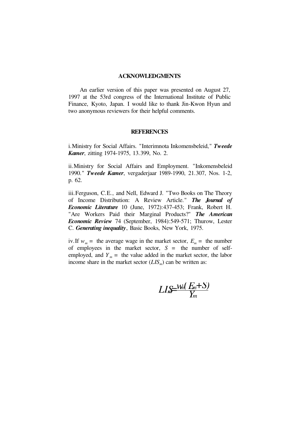### **ACKNOWLEDGMENTS**

 An earlier version of this paper was presented on August 27, 1997 at the 53rd congress of the International Institute of Public Finance, Kyoto, Japan. I would like to thank Jin-Kwon Hyun and two anonymous reviewers for their helpful comments.

#### **REFERENCES**

i.Ministry for Social Affairs. "Interimnota Inkomensbeleid," *Tweede Kamer*, zitting 1974-1975, 13.399, No. 2.

ii.Ministry for Social Affairs and Employment. "Inkomensbeleid 1990." *Tweede Kamer*, vergaderjaar 1989-1990, 21.307, Nos. 1-2, p. 62.

iii.Ferguson, C.E., and Nell, Edward J. "Two Books on The Theory of Income Distribution: A Review Article." *The Journal of Economic Literature* 10 (June, 1972):437-453; Frank, Robert H. "Are Workers Paid their Marginal Products?" *The American Economic Review* 74 (September, 1984):549-571; Thurow, Lester C. *Generating inequality*, Basic Books, New York, 1975.

iv. If  $w_m$  = the average wage in the market sector,  $E_m$  = the number of employees in the market sector, *S* = the number of selfemployed, and  $Y_m$  = the value added in the market sector, the labor income share in the market sector  $(LIS<sub>m</sub>)$  can be written as:

*Y*  $LI_{\rm w} = \frac{W_{\rm M}(E_{\rm m}+S)}{V}$ *m m m m*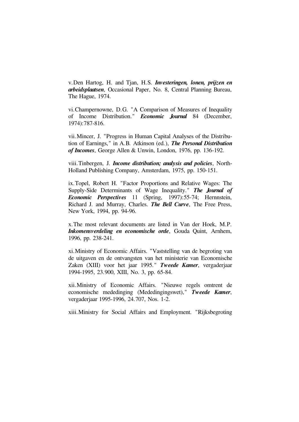v.Den Hartog, H. and Tjan, H.S. *Investeringen, lonen, prijzen en arbeidsplaatsen*, Occasional Paper, No. 8, Central Planning Bureau, The Hague, 1974.

vi.Champernowne, D.G. "A Comparison of Measures of Inequality of Income Distribution." *Economic Journal* 84 (December, 1974):787-816.

vii.Mincer, J. "Progress in Human Capital Analyses of the Distribution of Earnings," in A.B. Atkinson (ed.), *The Personal Distribution of Incomes*, George Allen & Unwin, London, 1976, pp. 136-192.

viii.Tinbergen, J. *Income distribution; analysis and policies*, North-Holland Publishing Company, Amsterdam, 1975, pp. 150-151.

ix.Topel, Robert H. "Factor Proportions and Relative Wages: The Supply-Side Determinants of Wage Inequality." *The Journal of Economic Perspectives* 11 (Spring, 1997):55-74; Hernnstein, Richard J. and Murray, Charles. *The Bell Curve*, The Free Press, New York, 1994, pp. 94-96.

x.The most relevant documents are listed in Van der Hoek, M.P. *Inkomensverdeling en economische orde*, Gouda Quint, Arnhem, 1996, pp. 238-241.

xi.Ministry of Economic Affairs. "Vaststelling van de begroting van de uitgaven en de ontvangsten van het ministerie van Economische Zaken (XIII) voor het jaar 1995." *Tweede Kamer*, vergaderjaar 1994-1995, 23.900, XIII, No. 3, pp. 65-84.

xii.Ministry of Economic Affairs. "Nieuwe regels omtrent de economische mededinging (Mededingingswet)," *Tweede Kamer*, vergaderjaar 1995-1996, 24.707, Nos. 1-2.

xiii.Ministry for Social Affairs and Employment. "Rijksbegroting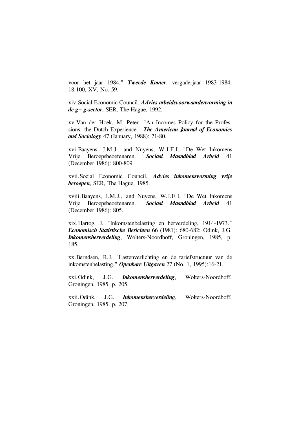voor het jaar 1984." *Tweede Kamer*, vergaderjaar 1983-1984, 18.100, XV, No. 59.

xiv.Social Economic Council. *Advies arbeidsvoorwaardenvorming in de g+ g-sector*, SER, The Hague, 1992.

xv.Van der Hoek, M. Peter. "An Incomes Policy for the Professions: the Dutch Experience." *The American Journal of Economics and Sociology* 47 (January, 1988): 71-80.

xvi.Baayens, J.M.J., and Nuyens, W.J.F.I. "De Wet Inkomens Vrije Beroepsbeoefenaren." *Sociaal Maandblad Arbeid* 41 (December 1986): 800-809.

xvii.Social Economic Council. *Advies inkomensvorming vrije beroepen*, SER, The Hague, 1985.

xviii.Baayens, J.M.J., and Nuyens, W.J.F.I. "De Wet Inkomens Vrije Beroepsbeoefenaren." *Sociaal Maandblad Arbeid* 41 (December 1986): 805.

xix.Hartog, J. "Inkomstenbelasting en herverdeling, 1914-1973." *Economisch Statistische Berichten* 66 (1981): 680-682; Odink, J.G. *Inkomensherverdeling*, Wolters-Noordhoff, Groningen, 1985, p. 185.

xx.Berndsen, R.J. "Lastenverlichting en de tariefstructuur van de inkomstenbelasting." *Openbare Uitgaven* 27 (No. 1, 1995):16-21.

xxi.Odink, J.G. *Inkomensherverdeling*, Wolters-Noordhoff, Groningen, 1985, p. 205.

xxii.Odink, J.G. *Inkomensherverdeling*, Wolters-Noordhoff, Groningen, 1985, p. 207.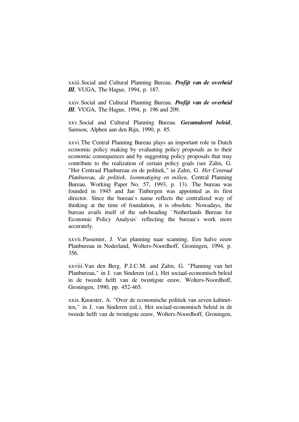xxiii.Social and Cultural Planning Bureau. *Profijt van de overheid III*, VUGA, The Hague, 1994, p. 187.

xxiv.Social and Cultural Planning Bureau. *Profijt van de overheid III*, VUGA, The Hague, 1994, p. 196 and 209.

xxv.Social and Cultural Planning Bureau. *Gecumuleerd beleid*, Samson, Alphen aan den Rijn, 1990, p. 85.

xxvi.The Central Planning Bureau plays an important role in Dutch economic policy making by evaluating policy proposals as to their economic consequences and by suggesting policy proposals that may contribute to the realization of certain policy goals (see Zalm, G. "Het Centraal Planbureau en de politiek," in Zalm, G. *Het Centraal Planbureau, de politiek, loonmatiging en milieu*, Central Planning Bureau, Working Paper No. 57, 1993, p. 13). The bureau was founded in 1945 and Jan Tinbergen was appointed as its first director. Since the bureau's name reflects the centralized way of thinking at the time of foundation, it is obsolete. Nowadays, the bureau avails itself of the sub-heading ` Netherlands Bureau for Economic Policy Analysis' reflecting the bureau's work more accurately.

xxvii.Passenier, J. Van planning naar scanning. Een halve eeuw Planbureau in Nederland, Wolters-Noordhoff, Groningen, 1994, p. 356.

xxviii.Van den Berg, P.J.C.M. and Zalm, G. "Planning van het Planbureau," in J. van Sinderen (ed.), Het sociaal-economisch beleid in de tweede helft van de twintigste eeuw, Wolters-Noordhoff, Groningen, 1990, pp. 452-465.

xxix.Knoester, A. "Over de economische politiek van zeven kabinetten," in J. van Sinderen (ed.), Het sociaal-economisch beleid in de tweede helft van de twintigste eeuw, Wolters-Noordhoff, Groningen,